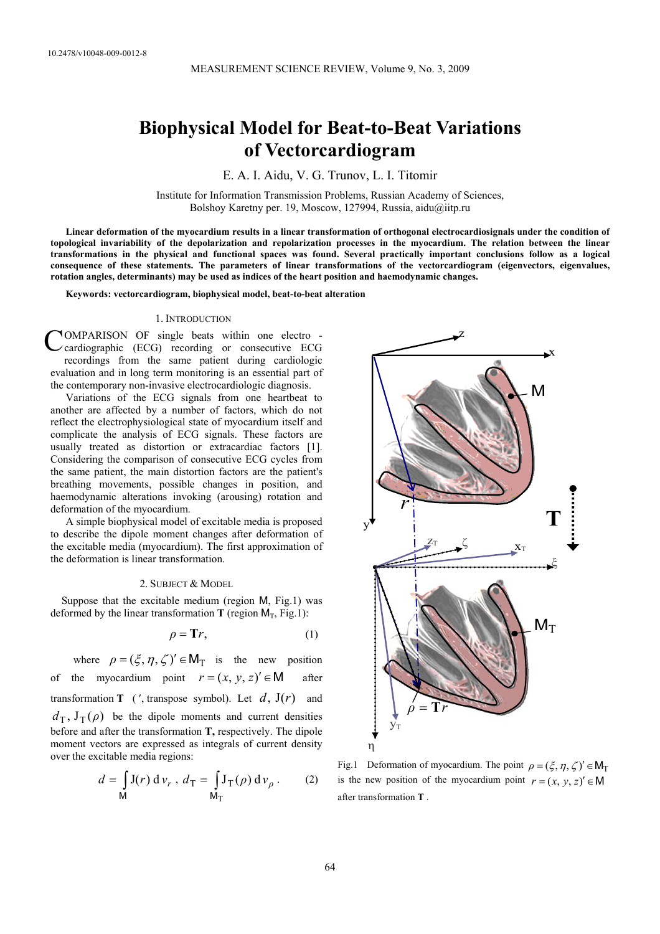# **Biophysical Model for Beat-to-Beat Variations of Vectorcardiogram**

E. A. I. Aidu, V. G. Trunov, L. I. Titomir

Institute for Information Transmission Problems, Russian Academy of Sciences, Bolshoy Karetny per. 19, Moscow, 127994, Russia, aidu@iitp.ru

**Linear deformation of the myocardium results in a linear transformation of orthogonal electrocardiosignals under the condition of topological invariability of the depolarization and repolarization processes in the myocardium. The relation between the linear transformations in the physical and functional spaces was found. Several practically important conclusions follow as a logical consequence of these statements. The parameters of linear transformations of the vectorcardiogram (eigenvectors, eigenvalues, rotation angles, determinants) may be used as indices of the heart position and haemodynamic changes.** 

**Keywords: vectorcardiogram, biophysical model, beat-to-beat alteration** 

### 1. INTRODUCTION

OMPARISON OF single beats within one electro cardiographic (ECG) recording or consecutive ECG recordings from the same patient during cardiologic evaluation and in long term monitoring is an essential part of the contemporary non-invasive electrocardiologic diagnosis. C

Variations of the ECG signals from one heartbeat to another are affected by a number of factors, which do not reflect the electrophysiological state of myocardium itself and complicate the analysis of ECG signals. These factors are usually treated as distortion or extracardiac factors [1]. Considering the comparison of consecutive ECG cycles from the same patient, the main distortion factors are the patient's breathing movements, possible changes in position, and haemodynamic alterations invoking (arousing) rotation and deformation of the myocardium.

A simple biophysical model of excitable media is proposed to describe the dipole moment changes after deformation of the excitable media (myocardium). The first approximation of the deformation is linear transformation.

## 2. SUBJECT & MODEL

Suppose that the excitable medium (region M, Fig.1) was deformed by the linear transformation **T** (region  $M_T$ , Fig.1):

$$
\rho = \mathbf{Tr},\tag{1}
$$

where  $\rho = (\xi, \eta, \zeta)' \in M_T$  is the new position of the myocardium point  $r = (x, y, z)' \in M$  after transformation **T** (', transpose symbol). Let  $d$ ,  $J(r)$  and  $d_{\text{T}}$ ,  $J_{\text{T}}(\rho)$  be the dipole moments and current densities before and after the transformation **T,** respectively. The dipole moment vectors are expressed as integrals of current density over the excitable media regions:

$$
d = \int_{\mathsf{M}} \mathbf{J}(r) \, \mathrm{d} \, v_r \, , \, d_\mathrm{T} = \int_{\mathsf{M}_\mathrm{T}} \mathbf{J}_\mathrm{T}(\rho) \, \mathrm{d} \, v_\rho \, . \tag{2}
$$



Fig.1 Deformation of myocardium. The point  $\rho = (\xi, \eta, \zeta)' \in M_T$ is the new position of the myocardium point  $r = (x, y, z)' \in M$ after transformation **T** .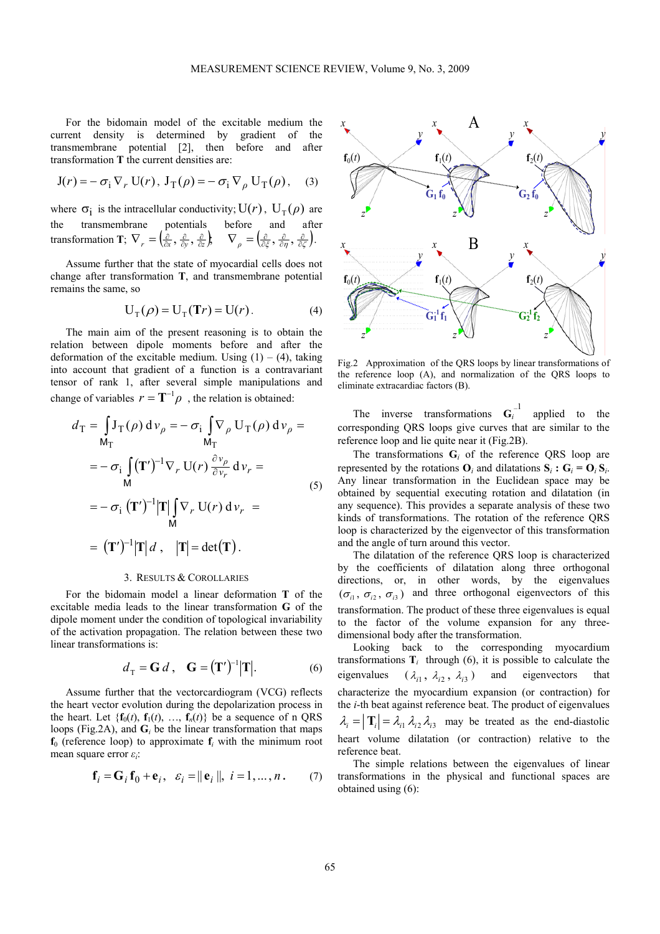For the bidomain model of the excitable medium the current density is determined by gradient of the transmembrane potential [2], then before and after transformation **T** the current densities are:

$$
J(r) = -\sigma_i \nabla_r U(r), \ J_T(\rho) = -\sigma_i \nabla_\rho U_T(\rho), \quad (3)
$$

where  $\sigma_i$  is the intracellular conductivity;  $U(r)$ ,  $U_T(\rho)$  are the transmembrane potentials before and after transformation **T**;  $\nabla_r = \left(\frac{\partial}{\partial x}, \frac{\partial}{\partial y}, \frac{\partial}{\partial z}\right), \quad \nabla_\rho = \left(\frac{\partial}{\partial \xi}, \frac{\partial}{\partial \eta}, \frac{\partial}{\partial \zeta}\right).$ 

Assume further that the state of myocardial cells does not change after transformation **T**, and transmembrane potential remains the same, so

$$
U_T(\rho) = U_T(\mathbf{T}r) = U(r).
$$
 (4)

The main aim of the present reasoning is to obtain the relation between dipole moments before and after the deformation of the excitable medium. Using  $(1) - (4)$ , taking into account that gradient of a function is a contravariant tensor of rank 1, after several simple manipulations and change of variables  $r = \mathbf{T}^{-1} \rho$ , the relation is obtained:

$$
d_{\mathbf{T}} = \int_{\mathbf{M}_{\mathbf{T}}} \mathbf{J}_{\mathbf{T}}(\rho) d\mathbf{v}_{\rho} = -\sigma_{\mathbf{i}} \int_{\mathbf{M}_{\mathbf{T}}} \nabla_{\rho} \mathbf{U}_{\mathbf{T}}(\rho) d\mathbf{v}_{\rho} =
$$
  
\n
$$
= -\sigma_{\mathbf{i}} \int_{\mathbf{M}} (\mathbf{T}')^{-1} \nabla_{r} \mathbf{U}(r) \frac{\partial \mathbf{v}_{\rho}}{\partial \mathbf{v}_{r}} d\mathbf{v}_{r} =
$$
  
\n
$$
= -\sigma_{\mathbf{i}} (\mathbf{T}')^{-1} |\mathbf{T}| \int_{\mathbf{M}} \nabla_{r} \mathbf{U}(r) d\mathbf{v}_{r} =
$$
  
\n
$$
= (\mathbf{T}')^{-1} |\mathbf{T}| d, \quad |\mathbf{T}| = \det(\mathbf{T}).
$$
\n(5)

#### 3. RESULTS & COROLLARIES

For the bidomain model a linear deformation **T** of the excitable media leads to the linear transformation **G** of the dipole moment under the condition of topological invariability of the activation propagation. The relation between these two linear transformations is:

$$
d_{\mathrm{T}} = \mathbf{G} d \,, \quad \mathbf{G} = (\mathbf{T}')^{-1} |\mathbf{T}|. \tag{6}
$$

Assume further that the vectorcardiogram (VCG) reflects the heart vector evolution during the depolarization process in the heart. Let  $\{f_0(t), f_1(t), \ldots, f_n(t)\}$  be a sequence of n QRS loops (Fig.2A), and  $\mathbf{G}_i$  be the linear transformation that maps  $f_0$  (reference loop) to approximate  $f_i$  with the minimum root mean square error *εi*:

$$
\mathbf{f}_i = \mathbf{G}_i \mathbf{f}_0 + \mathbf{e}_i, \ \varepsilon_i = ||\mathbf{e}_i||, \ i = 1, \dots, n. \tag{7}
$$



Fig.2 Approximation of the QRS loops by linear transformations of the reference loop (A), and normalization of the QRS loops to eliminate extracardiac factors (B).

The inverse transformations  $G_i^{-1}$  applied to the corresponding QRS loops give curves that are similar to the reference loop and lie quite near it (Fig.2B).

The transformations  $G_i$  of the reference QRS loop are represented by the rotations  $\mathbf{O}_i$  and dilatations  $\mathbf{S}_i$  **:**  $\mathbf{G}_i = \mathbf{O}_i \mathbf{S}_i$ . Any linear transformation in the Euclidean space may be obtained by sequential executing rotation and dilatation (in any sequence). This provides a separate analysis of these two kinds of transformations. The rotation of the reference QRS loop is characterized by the eigenvector of this transformation and the angle of turn around this vector.

The dilatation of the reference QRS loop is characterized by the coefficients of dilatation along three orthogonal directions, or, in other words, by the eigenvalues  $({\sigma}_{i_1}, {\sigma}_{i_2}, {\sigma}_{i_3})$  and three orthogonal eigenvectors of this transformation. The product of these three eigenvalues is equal to the factor of the volume expansion for any threedimensional body after the transformation.

Looking back to the corresponding myocardium transformations  $\mathbf{T}_i$  through (6), it is possible to calculate the eigenvalues  $(\lambda_{i1}, \lambda_{i2}, \lambda_{i3})$  and eigenvectors that characterize the myocardium expansion (or contraction) for the *i*-th beat against reference beat. The product of eigenvalues  $\lambda_i = |\mathbf{T}_i| = \lambda_{i1} \lambda_{i2} \lambda_{i3}$  may be treated as the end-diastolic heart volume dilatation (or contraction) relative to the reference beat.

The simple relations between the eigenvalues of linear transformations in the physical and functional spaces are obtained using (6):